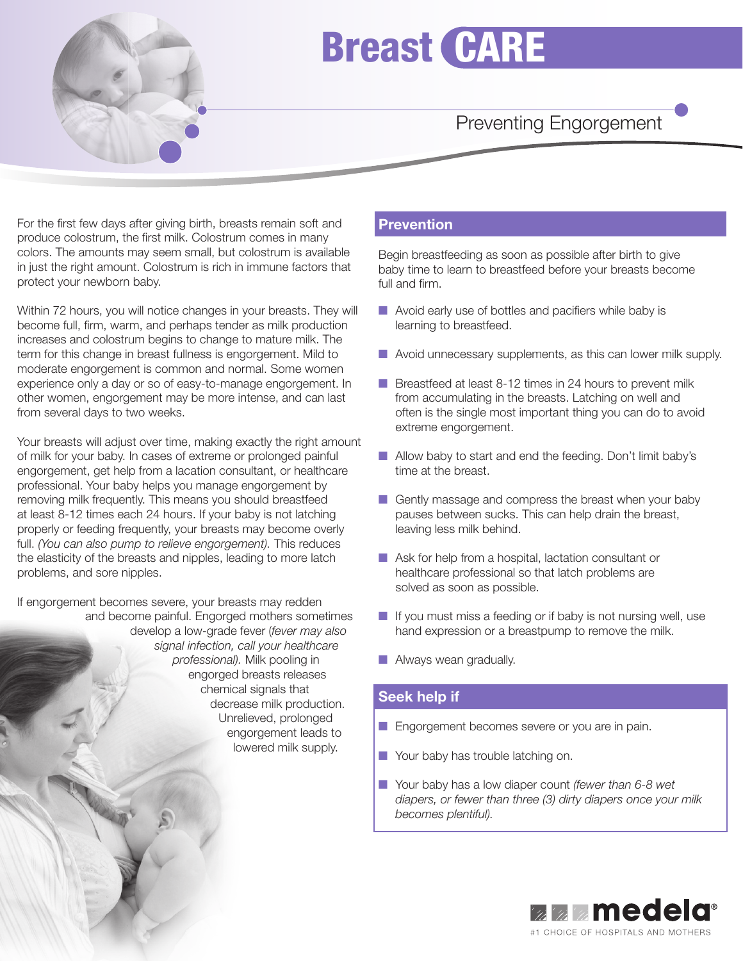

# Breast CARE

## Preventing Engorgement

For the first few days after giving birth, breasts remain soft and produce colostrum, the first milk. Colostrum comes in many colors. The amounts may seem small, but colostrum is available in just the right amount. Colostrum is rich in immune factors that protect your newborn baby.

Within 72 hours, you will notice changes in your breasts. They will become full, firm, warm, and perhaps tender as milk production increases and colostrum begins to change to mature milk. The term for this change in breast fullness is engorgement. Mild to moderate engorgement is common and normal. Some women experience only a day or so of easy-to-manage engorgement. In other women, engorgement may be more intense, and can last from several days to two weeks.

Your breasts will adjust over time, making exactly the right amount of milk for your baby. In cases of extreme or prolonged painful engorgement, get help from a lacation consultant, or healthcare professional. Your baby helps you manage engorgement by removing milk frequently. This means you should breastfeed at least 8-12 times each 24 hours. If your baby is not latching properly or feeding frequently, your breasts may become overly full. *(You can also pump to relieve engorgement).* This reduces the elasticity of the breasts and nipples, leading to more latch problems, and sore nipples.

If engorgement becomes severe, your breasts may redden and become painful. Engorged mothers sometimes develop a low-grade fever (*fever may also signal infection, call your healthcare professional).* Milk pooling in engorged breasts releases chemical signals that decrease milk production. Unrelieved, prolonged engorgement leads to lowered milk supply.

### **Prevention**

Begin breastfeeding as soon as possible after birth to give baby time to learn to breastfeed before your breasts become full and firm.

- $\blacksquare$  Avoid early use of bottles and pacifiers while baby is learning to breastfeed.
- Avoid unnecessary supplements, as this can lower milk supply.
- Breastfeed at least 8-12 times in 24 hours to prevent milk from accumulating in the breasts. Latching on well and often is the single most important thing you can do to avoid extreme engorgement.
- Allow baby to start and end the feeding. Don't limit baby's time at the breast.
- Gently massage and compress the breast when your baby pauses between sucks. This can help drain the breast, leaving less milk behind.
- Ask for help from a hospital, lactation consultant or healthcare professional so that latch problems are solved as soon as possible.
- If you must miss a feeding or if baby is not nursing well, use hand expression or a breastpump to remove the milk.
- Always wean gradually.

### **Seek help if**

- Engorgement becomes severe or you are in pain.
- Your baby has trouble latching on.
- Your baby has a low diaper count *(fewer than 6-8 wet diapers, or fewer than three (3) dirty diapers once your milk becomes plentiful).*